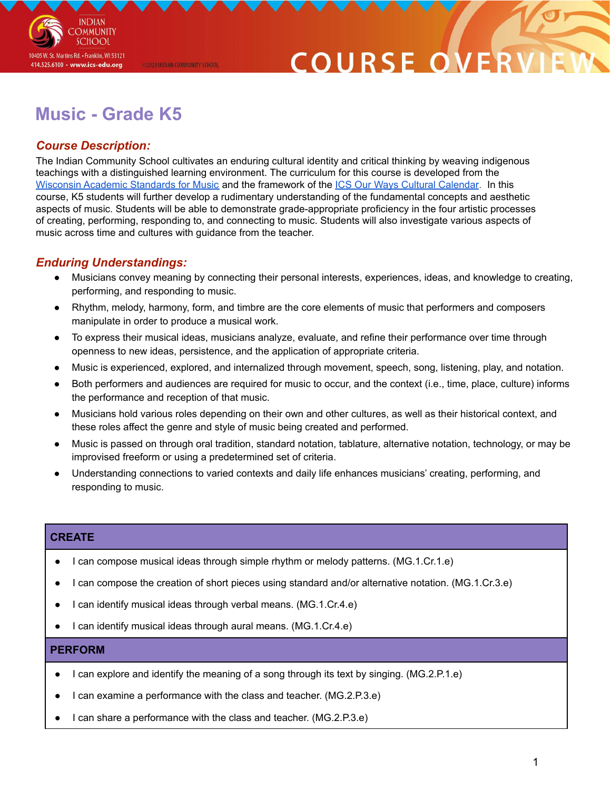

## COURSE O

### **Music - Grade K5**

@2020 INDIAN COMMUNITY SCHOOL

#### *Course Description:*

The Indian Community School cultivates an enduring cultural identity and critical thinking by weaving indigenous teachings with a distinguished learning environment. The curriculum for this course is developed from the Wisconsin Academic [Standards](https://dpi.wi.gov/sites/default/files/imce/fine-arts/wimusicstandardsfinaladopted.pdf) for Music and the framework of the ICS Our Ways Cultural [Calendar](https://drive.google.com/open?id=0B7pONXiRIufTT3VHOXBBeG9USHMzbDNIUi1nV0NTbURCMFRZ). In this course, K5 students will further develop a rudimentary understanding of the fundamental concepts and aesthetic aspects of music. Students will be able to demonstrate grade-appropriate proficiency in the four artistic processes of creating, performing, responding to, and connecting to music. Students will also investigate various aspects of music across time and cultures with guidance from the teacher.

#### *Enduring Understandings:*

- Musicians convey meaning by connecting their personal interests, experiences, ideas, and knowledge to creating, performing, and responding to music.
- Rhythm, melody, harmony, form, and timbre are the core elements of music that performers and composers manipulate in order to produce a musical work.
- To express their musical ideas, musicians analyze, evaluate, and refine their performance over time through openness to new ideas, persistence, and the application of appropriate criteria.
- Music is experienced, explored, and internalized through movement, speech, song, listening, play, and notation.
- Both performers and audiences are required for music to occur, and the context (i.e., time, place, culture) informs the performance and reception of that music.
- Musicians hold various roles depending on their own and other cultures, as well as their historical context, and these roles affect the genre and style of music being created and performed.
- Music is passed on through oral tradition, standard notation, tablature, alternative notation, technology, or may be improvised freeform or using a predetermined set of criteria.
- Understanding connections to varied contexts and daily life enhances musicians' creating, performing, and responding to music.

#### **CREATE**

- I can compose musical ideas through simple rhythm or melody patterns. (MG.1.Cr.1.e)
- I can compose the creation of short pieces using standard and/or alternative notation. (MG.1.Cr.3.e)
- I can identify musical ideas through verbal means. (MG.1.Cr.4.e)
- I can identify musical ideas through aural means. (MG.1.Cr.4.e)

#### **PERFORM**

- I can explore and identify the meaning of a song through its text by singing. (MG.2.P.1.e)
- I can examine a performance with the class and teacher. (MG.2.P.3.e)
- I can share a performance with the class and teacher. (MG.2.P.3.e)